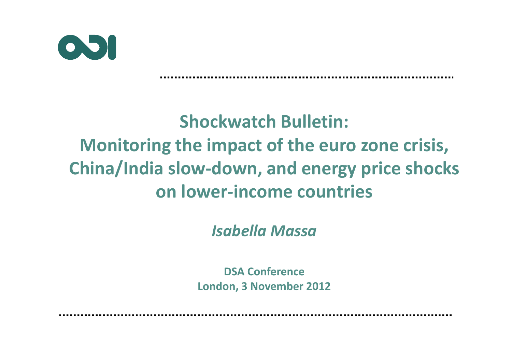

# **Shockwatch Bulletin: Monitoring the impact of the euro zone crisis, China/India slow-down, and energy price shocks on lower-income countries**

*Isabella Massa*

**DSA ConferenceLondon, 3 November 2012**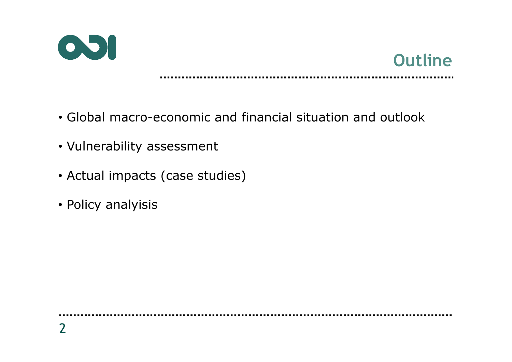



- Global macro-economic and financial situation and outlook
- Vulnerability assessment
- Actual impacts (case studies)
- Policy analyisis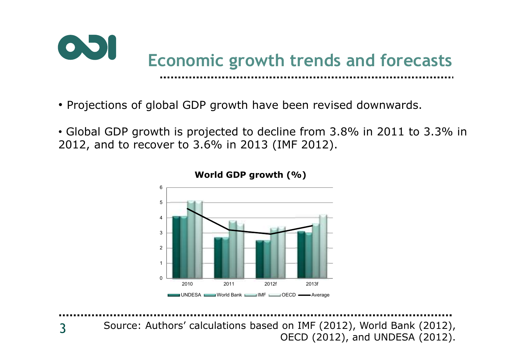

- Projections of global GDP growth have been revised downwards.
- Global GDP growth is projected to decline from 3.8% in 2011 to 3.3% in 2012, and to recover to 3.6% in 2013 (IMF 2012).



**World GDP growth (%)**

3Source: Authors' calculations based on IMF (2012), World Bank (2012), OECD (2012), and UNDESA (2012).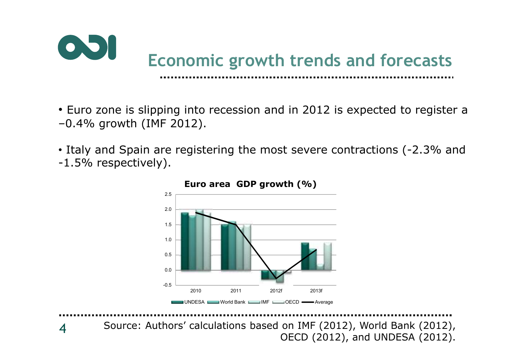

- Euro zone is slipping into recession and in 2012 is expected to register a –0.4% growth (IMF 2012).
- Italy and Spain are registering the most severe contractions (-2.3% and -1.5% respectively).



**Euro area GDP growth (%)**

4Source: Authors' calculations based on IMF (2012), World Bank (2012), OECD (2012), and UNDESA (2012).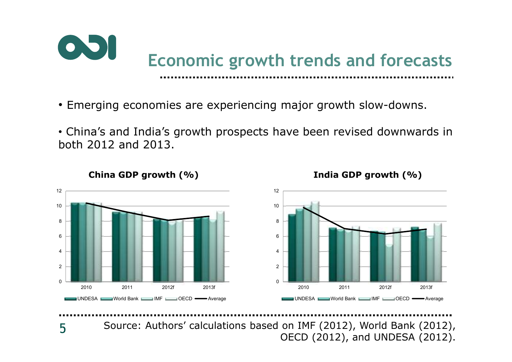

- Emerging economies are experiencing major growth slow-downs.
- China's and India's growth prospects have been revised downwards in both 2012 and 2013.



### **China GDP growth (%)**

**India GDP growth (%)**

Source: Authors' calculations based on IMF (2012), World Bank (2012), OECD (2012), and UNDESA (2012).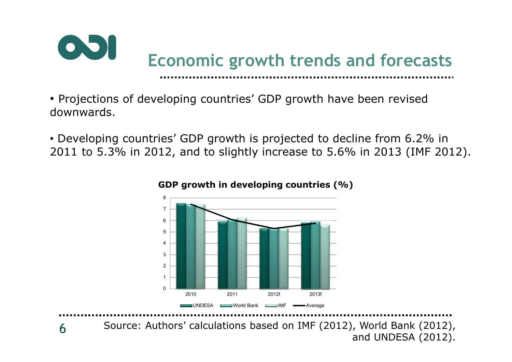

- Projections of developing countries' GDP growth have been revised downwards.
- Developing countries' GDP growth is projected to decline from 6.2% in 2011 to 5.3% in 2012, and to slightly increase to 5.6% in 2013 (IMF 2012).



### **GDP growth in developing countries (%)**

6Source: Authors' calculations based on IMF (2012), World Bank (2012), and UNDESA (2012).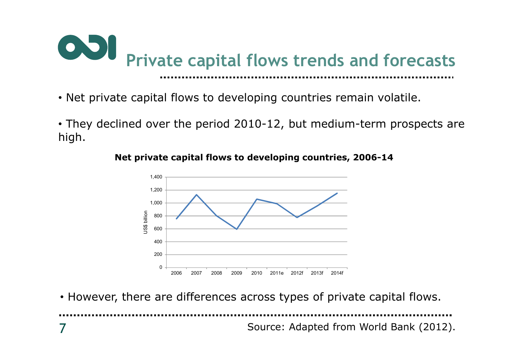

- Net private capital flows to developing countries remain volatile.
- They declined over the period 2010-12, but medium-term prospects are high.

**Net private capital flows to developing countries, 2006-14**



• However, there are differences across types of private capital flows.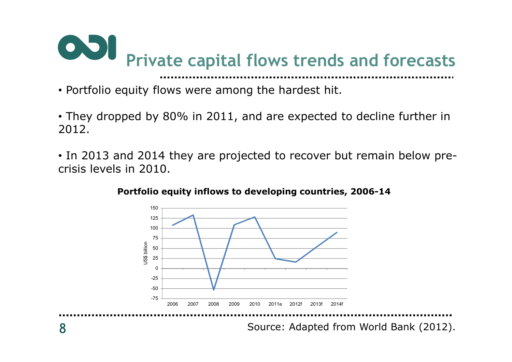

- Portfolio equity flows were among the hardest hit.
- They dropped by 80% in 2011, and are expected to decline further in 2012.
- In 2013 and 2014 they are projected to recover but remain below precrisis levels in 2010.



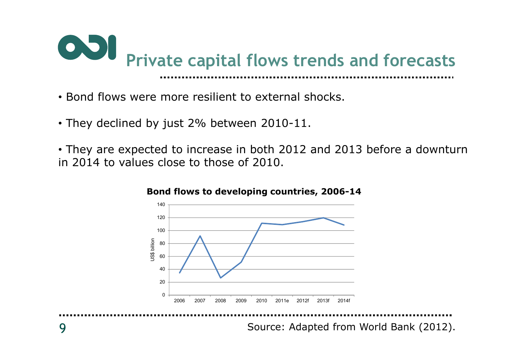

- Bond flows were more resilient to external shocks.
- They declined by just 2% between 2010-11.
- They are expected to increase in both 2012 and 2013 before a downturn in 2014 to values close to those of 2010.



### **Bond flows to developing countries, 2006-14**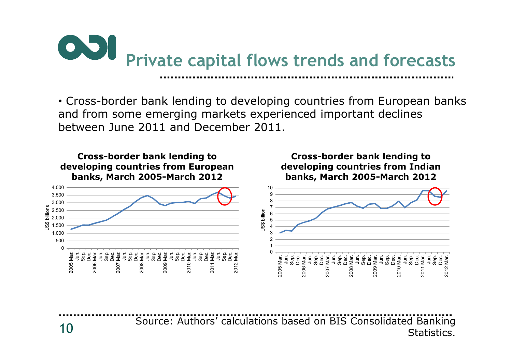

• Cross-border bank lending to developing countries from European banks and from some emerging markets experienced important declines between June 2011 and December 2011.



Source: Authors' calculations based on BIS Consolidated Banking Statistics.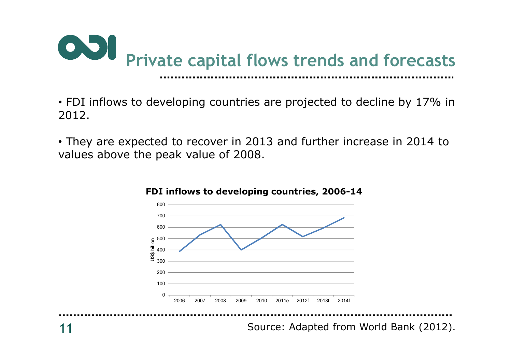

• FDI inflows to developing countries are projected to decline by 17% in 2012.

• They are expected to recover in 2013 and further increase in 2014 to values above the peak value of 2008.



#### **FDI inflows to developing countries, 2006-14**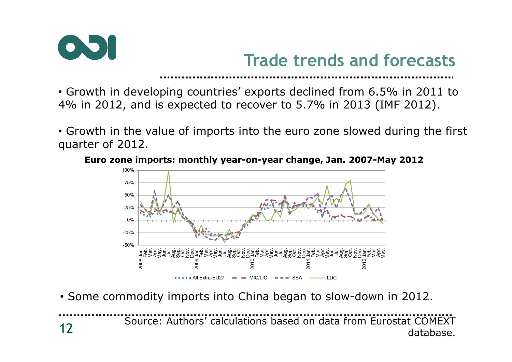

# **Trade trends and forecasts**

• Growth in developing countries' exports declined from 6.5% in 2011 to 4% in 2012, and is expected to recover to 5.7% in 2013 (IMF 2012).

• Growth in the value of imports into the euro zone slowed during the first quarter of 2012.





• Some commodity imports into China began to slow-down in 2012.

12Source: Authors' calculations based on data from Eurostat COMEXT database.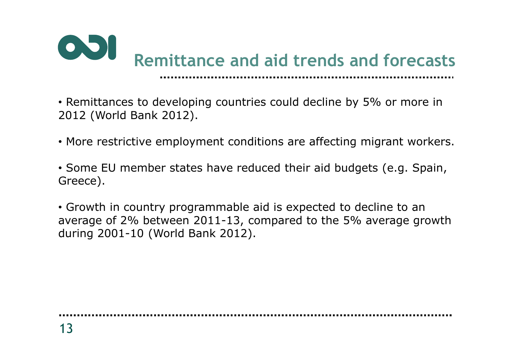

• Remittances to developing countries could decline by 5% or more in 2012 (World Bank 2012).

- More restrictive employment conditions are affecting migrant workers.
- Some EU member states have reduced their aid budgets (e.g. Spain, Greece).

• Growth in country programmable aid is expected to decline to an average of 2% between 2011-13, compared to the 5% average growth during 2001-10 (World Bank 2012).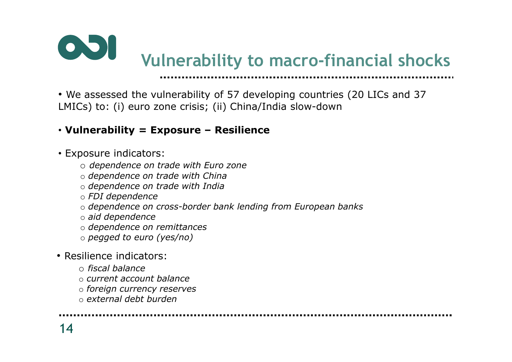

• We assessed the vulnerability of 57 developing countries (20 LICs and 37 LMICs) to: (i) euro zone crisis; (ii) China/India slow-down

### • **Vulnerability = Exposure – Resilience**

- Exposure indicators:
	- o *dependence on trade with Euro zone*
	- o *dependence on trade with China*
	- o *dependence on trade with India*
	- o *FDI dependence*
	- o *dependence on cross-border bank lending from European banks*
	- o *aid dependence*
	- o *dependence on remittances*
	- o *pegged to euro (yes/no)*
- Resilience indicators:
	- o *fiscal balance*
	- o *current account balance*
	- o *foreign currency reserves*
	- o *external debt burden*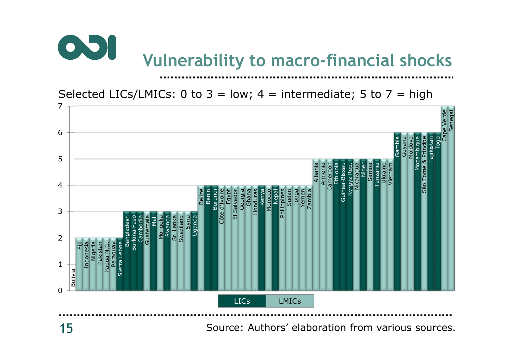

Selected LICs/LMICs: 0 to  $3 = low$ ; 4 = intermediate; 5 to 7 = high

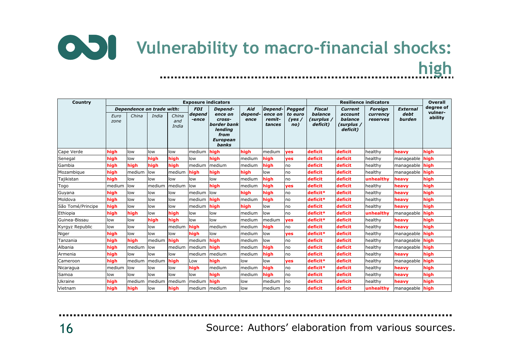

| Country           |              |                           |        |                       |                                            | <b>Exposure indicators</b>                                                  |                | <b>Overall</b>     |                   |                          |                                   |                            |                         |                      |
|-------------------|--------------|---------------------------|--------|-----------------------|--------------------------------------------|-----------------------------------------------------------------------------|----------------|--------------------|-------------------|--------------------------|-----------------------------------|----------------------------|-------------------------|----------------------|
|                   |              | Dependence on trade with: |        |                       | <b>FDI</b><br>Depend-<br>depend<br>ence on |                                                                             | Aid<br>depend- | Depend-<br>ence on | Pegged<br>to euro | <b>Fiscal</b><br>balance | <b>Current</b><br>account         | <b>Foreign</b><br>currency | <b>External</b><br>debt | degree of<br>vulner- |
|                   | Euro<br>zone | China                     | India  | China<br>and<br>India | -ence                                      | cross-<br>border bank<br>lending<br>from<br><b>European</b><br><b>banks</b> | ence           | remit-<br>tances   | (yes)<br>no)      | (surplus /<br>deficit)   | balance<br>(surplus /<br>deficit) | reserves                   | burden                  | ability              |
| Cape Verde        | high         | low                       | low    | low                   | medium                                     | high                                                                        | high           | medium             | yes               | deficit                  | deficit                           | healthy                    | heavy                   | high                 |
| Senegal           | high         | low                       | high   | high                  | low                                        | high                                                                        | medium         | high               | <b>ves</b>        | deficit                  | deficit                           | healthy                    | manageable              | high                 |
| Gambia            | high         | high                      | high   | high                  | medium                                     | Imedium                                                                     | medium         | high               | no                | deficit                  | deficit                           | healthy                    | manageable              | high                 |
| Mozambique        | high         | medium                    | low    | medium                | high                                       | high                                                                        | high           | low                | no                | deficit                  | deficit                           | healthy                    | manageable              | high                 |
| Tajikistan        | high         | low                       | low    | low                   | low                                        | low                                                                         | medium         | high               | no                | deficit                  | deficit                           | unhealthy                  | heavy                   | high                 |
| Togo              | medium       | low                       | medium | medium                | llow                                       | high                                                                        | medium         | high               | <b>ves</b>        | deficit                  | deficit                           | healthy                    | heavv                   | high                 |
| Guyana            | high         | low                       | low    | low                   | medium                                     | low                                                                         | high           | high               | no                | deficit*                 | deficit                           | healthy                    | heavy                   | high                 |
| Moldova           | high         | low                       | low    | low                   | medium                                     | high                                                                        | medium         | high               | no                | deficit*                 | deficit                           | healthy                    | heavy                   | high                 |
| São Tomé/Principe | high         | low                       | low    | low                   | medium                                     | high                                                                        | high           | low                | no                | deficit                  | deficit                           | healthy                    | heavy                   | high                 |
| Ethiopia          | high         | high                      | low    | high                  | low                                        | low                                                                         | medium         | low                | no                | deficit*                 | deficit                           | unhealthy                  | manageable              | high                 |
| Guinea-Bissau     | low          | low                       | high   | high                  | low                                        | low                                                                         | medium         | medium             | <b>ves</b>        | deficit*                 | deficit                           | healthy                    | heavy                   | high                 |
| Kyrgyz Republic   | low          | low                       | low    | medium                | high                                       | medium                                                                      | medium         | high               | no                | deficit                  | deficit                           | healthy                    | heavv                   | high                 |
| Niger             | high         | low                       | low    | low                   | high                                       | low                                                                         | medium         | low                | <b>ves</b>        | deficit*                 | deficit                           | healthy                    | manageable              | high                 |
| Tanzania          | high         | high                      | medium | high                  | medium                                     | high                                                                        | medium         | low                | no                | deficit                  | deficit                           | healthy                    | manageable              | high                 |
| Albania           | high         | medium                    | low    | medium                | medium                                     | high                                                                        | medium         | high               | no                | deficit                  | deficit                           | healthy                    | manageable              | high                 |
| Armenia           | high         | low                       | low    | low                   | medium                                     | Imedium                                                                     | medium         | high               | no                | deficit                  | deficit                           | healthy                    | heavy                   | high                 |
| Cameroon          | high         | medium                    | medium | high                  | Low                                        | high                                                                        | low            | low                | <b>ves</b>        | deficit*                 | deficit                           | healthy                    | manageable              | high                 |
| Nicaragua         | medium       | low                       | low    | low                   | high                                       | medium                                                                      | medium         | high               | no                | deficit*                 | deficit                           | healthy                    | heavy                   | high                 |
| Samoa             | low          | low                       | low    | low                   | low                                        | high                                                                        | medium         | high               | no                | deficit                  | deficit                           | healthy                    | heavy                   | high                 |
| Ukraine           | high         | medium                    | medium | medium                | medium                                     | high                                                                        | low            | medium             | no                | deficit                  | deficit                           | healthy                    | heavy                   | high                 |
| Vietnam           | high         | high                      | low    | high                  | medium                                     | Imedium                                                                     | low            | medium             | Ino               | deficit                  | deficit                           | unhealthy                  | manageable              | high                 |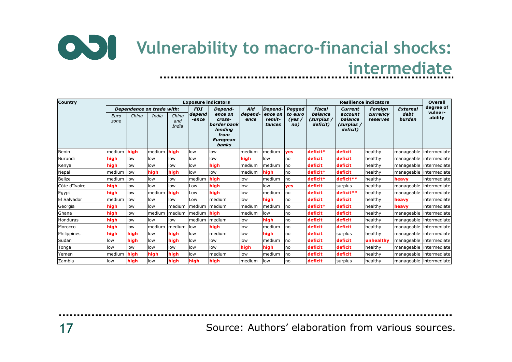### **Vulnerability to macro-financial shocks: intermediate**...............

| <b>Country</b>  |              |       |                                    |                       |                               | <b>Exposure indicators</b>                                                                 |                        | <b>Overall</b>                         |                                      |                                             |                                                                |                                        |                                   |                                 |
|-----------------|--------------|-------|------------------------------------|-----------------------|-------------------------------|--------------------------------------------------------------------------------------------|------------------------|----------------------------------------|--------------------------------------|---------------------------------------------|----------------------------------------------------------------|----------------------------------------|-----------------------------------|---------------------------------|
|                 | Euro<br>zone | China | Dependence on trade with:<br>India | China<br>and<br>India | <b>FDI</b><br>depend<br>-ence | Depend-<br>ence on<br>cross-<br>border bank<br>lending<br>from<br><b>European</b><br>banks | Aid<br>depend-<br>ence | Depend-<br>ence on<br>remit-<br>tances | Pegged<br>to euro<br>(yes $/$<br>no) | Fiscal<br>balance<br>(surplus /<br>deficit) | <b>Current</b><br>account<br>balance<br>(surplus /<br>deficit) | <b>Foreign</b><br>currency<br>reserves | <b>External</b><br>debt<br>burden | degree of<br>vulner-<br>ability |
| Benin           | medium       | high  | medium                             | high                  | low                           | low                                                                                        | medium                 | medium                                 | ves                                  | deficit*                                    | deficit                                                        | healthy                                | manageable intermediate           |                                 |
| Burundi         | high         | low   | low                                | low                   | low                           | low                                                                                        | high                   | low                                    | no                                   | deficit                                     | deficit                                                        | healthy                                | manageable intermediate           |                                 |
| Kenya           | high         | low   | low                                | low                   | low                           | high                                                                                       | medium                 | medium                                 | no                                   | deficit                                     | deficit                                                        | healthy                                | manageable intermediate           |                                 |
| Nepal           | medium       | low   | high                               | high                  | low                           | low                                                                                        | medium                 | high                                   | no                                   | deficit*                                    | deficit                                                        | healthy                                | manageable intermediate           |                                 |
| <b>Belize</b>   | medium       | llow  | low                                | low                   | medium                        | high                                                                                       | low                    | medium                                 | no                                   | deficit*                                    | deficit**                                                      | healthy                                | heavy                             | lintermediate                   |
| Côte d'Ivoire   | high         | low   | low                                | low                   | Low                           | high                                                                                       | low                    | low                                    | yes                                  | deficit                                     | surplus                                                        | healthy                                | manageable intermediate           |                                 |
| Egypt           | high         | low   | medium                             | high                  | Low                           | high                                                                                       | low                    | medium                                 | no                                   | deficit                                     | deficit**                                                      | healthy                                | manageable                        | lintermediate                   |
| El Salvador     | medium       | low   | low                                | low                   | Low                           | medium                                                                                     | low                    | high                                   | no                                   | deficit                                     | deficit                                                        | healthy                                | heavy                             | intermediate                    |
| Georgia         | high         | low   | low                                | medium                | medium                        | Imedium                                                                                    | medium                 | medium                                 | no                                   | deficit*                                    | deficit                                                        | healthy                                | heavy                             | intermediate                    |
| Ghana           | high         | low   | medium                             | medium                | Imedium                       | high                                                                                       | medium                 | low                                    | no                                   | deficit                                     | deficit                                                        | healthy                                | manageable lintermediate          |                                 |
| <b>Honduras</b> | high         | low   | low                                | low                   | medium                        | Imedium                                                                                    | low                    | high                                   | no                                   | deficit                                     | deficit                                                        | healthy                                | manageable                        | intermediate                    |
| Morocco         | high         | low   | medium                             | medium                | llow                          | high                                                                                       | low                    | medium                                 | no                                   | deficit                                     | deficit                                                        | healthy                                | manageable lintermediate          |                                 |
| Philippines     | high         | high  | low                                | high                  | low                           | medium                                                                                     | low                    | high                                   | no                                   | deficit                                     | surplus                                                        | healthy                                | manageable intermediate           |                                 |
| Sudan           | low          | high  | low                                | high                  | low                           | low                                                                                        | low                    | medium                                 | no                                   | deficit                                     | deficit                                                        | unhealthy                              | manageable intermediate           |                                 |
| Tonga           | low          | low   | low                                | low                   | low                           | low                                                                                        | high                   | high                                   | no                                   | deficit                                     | deficit                                                        | healthy                                |                                   | manageable intermediate         |
| Yemen           | medium       | high  | high                               | high                  | low                           | medium                                                                                     | low                    | medium                                 | no                                   | deficit                                     | deficit                                                        | healthy                                | manageable intermediate           |                                 |
| Zambia          | low          | high  | low                                | high                  | high                          | high                                                                                       | medium                 | low                                    | no                                   | deficit                                     | surplus                                                        | healthv                                |                                   | manageable lintermediate        |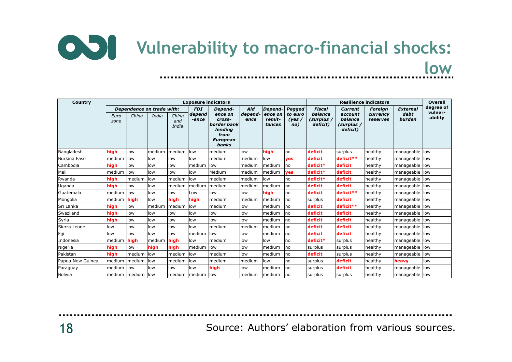

| Country          |              |        |                           |                       |                       | <b>Exposure indicators</b>                                                      |                 | <b>Overall</b>              |                          |                                   |                                              |                      |                 |                      |
|------------------|--------------|--------|---------------------------|-----------------------|-----------------------|---------------------------------------------------------------------------------|-----------------|-----------------------------|--------------------------|-----------------------------------|----------------------------------------------|----------------------|-----------------|----------------------|
|                  |              |        | Dependence on trade with: |                       | <b>FDI</b><br>Depend- |                                                                                 | Aid             | Depend-                     | Pegged                   | Fiscal                            | <b>Current</b>                               | <b>Foreign</b>       | <b>External</b> | degree of<br>vulner- |
|                  | Euro<br>zone | China  | India                     | China<br>and<br>India | depend<br>-ence       | ence on<br>cross-<br>border bank<br>lending<br>from<br><b>European</b><br>banks | depend-<br>ence | ence on<br>remit-<br>tances | to euro<br>(yes /<br>no) | balance<br>(surplus /<br>deficit) | account<br>balance<br>(surplus /<br>deficit) | currency<br>reserves | debt<br>burden  | ability              |
| Bangladesh       | high         | low    | medium                    | medium                | low                   | medium                                                                          | low             | high                        | no                       | deficit                           | surplus                                      | healthy              | manageable low  |                      |
| Burkina Faso     | medium       | low    | low                       | low                   | low                   | medium                                                                          | medium          | low                         | yes                      | deficit                           | deficit**                                    | healthy              | manageable low  |                      |
| Cambodia         | high         | low    | low                       | low                   | medium                | low                                                                             | medium          | medium                      | no                       | deficit*                          | deficit                                      | healthy              | manageable      | low                  |
| Mali             | medium       | low    | low                       | low                   | low                   | Medium                                                                          | medium          | medium                      | yes                      | deficit*                          | deficit                                      | healthy              | manageable      | low                  |
| Rwanda           | high         | medium | low                       | medium                | low                   | medium                                                                          | medium          | low                         | no                       | deficit*                          | deficit                                      | healthy              | manageable low  |                      |
| Uganda           | high         | low    | low                       | medium                | medium                | medium                                                                          | medium          | medium                      | no                       | deficit                           | deficit                                      | healthy              | manageable      | low                  |
| Guatemala        | medium       | low    | low                       | low                   | Low                   | low                                                                             | low             | high                        | no                       | deficit                           | deficit**                                    | healthy              | manageable low  |                      |
| Mongolia         | medium       | high   | low                       | high                  | high                  | medium                                                                          | medium          | medium                      | no                       | surplus                           | deficit                                      | healthy              | manageable low  |                      |
| Sri Lanka        | high         | low    | medium                    | medium                | low                   | medium                                                                          | low             | medium                      | no                       | deficit                           | deficit**                                    | healthy              | manageable      | low                  |
| Swaziland        | high         | low    | low                       | low                   | low                   | low                                                                             | low             | medium                      | no                       | deficit                           | deficit                                      | healthy              | manageable low  |                      |
| Syria            | high         | low    | low                       | low                   | low                   | low                                                                             | low             | medium                      | no                       | deficit                           | deficit                                      | healthy              | manageable low  |                      |
| Sierra Leone     | low          | low    | low                       | low                   | low                   | medium                                                                          | medium          | medium                      | no                       | deficit                           | deficit                                      | healthy              | manageable low  |                      |
| Fiji             | low          | low    | low                       | low                   | medium                | low                                                                             | low             | medium                      | no                       | deficit                           | deficit                                      | healthy              | manageable low  |                      |
| Indonesia        | medium       | high   | medium                    | high                  | low                   | medium                                                                          | low             | low                         | no                       | deficit*                          | surplus                                      | healthy              | manageable      | low                  |
| Nigeria          | high         | low    | high                      | high                  | medium                | low                                                                             | low             | medium                      | no                       | surplus                           | surplus                                      | healthy              | manageable low  |                      |
| Pakistan         | high         | medium | low                       | medium                | low                   | medium                                                                          | low             | medium                      | no                       | deficit                           | surplus                                      | healthy              | manageable low  |                      |
| Papua New Guinea | medium       | medium | low                       | medium                | llow                  | medium                                                                          | medium          | low                         | no                       | surplus                           | deficit                                      | healthy              | heavy           | low                  |
| Paraguay         | medium       | low    | low                       | low                   | low                   | high                                                                            | low             | medium                      | no                       | surplus                           | deficit                                      | healthy              | manageable      | low                  |
| <b>Bolivia</b>   | medium       | medium | low                       | medium                | Imedium               | low                                                                             | medium          | medium                      | no                       | surplus                           | surplus                                      | healthy              | manageable      | low                  |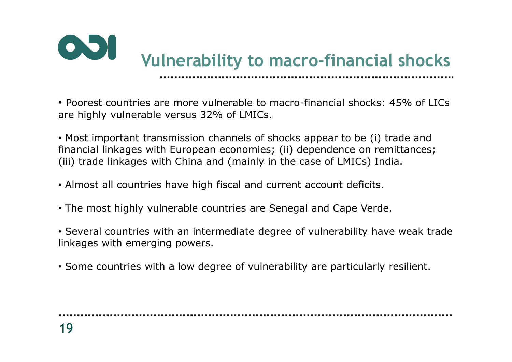

• Poorest countries are more vulnerable to macro-financial shocks: 45% of LICs are highly vulnerable versus 32% of LMICs.

• Most important transmission channels of shocks appear to be (i) trade and financial linkages with European economies; (ii) dependence on remittances; (iii) trade linkages with China and (mainly in the case of LMICs) India.

- Almost all countries have high fiscal and current account deficits.
- The most highly vulnerable countries are Senegal and Cape Verde.
- Several countries with an intermediate degree of vulnerability have weak trade linkages with emerging powers.
- Some countries with a low degree of vulnerability are particularly resilient.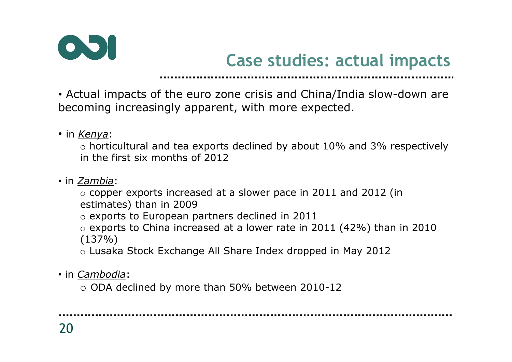

# **Case studies: actual impacts**

• Actual impacts of the euro zone crisis and China/India slow-down are becoming increasingly apparent, with more expected.

• in *Kenya*:

o horticultural and tea exports declined by about 10% and 3% respectively in the first six months of 2012

• in *Zambia*:

 o copper exports increased at a slower pace in 2011 and 2012 (in estimates) than in 2009

o exports to European partners declined in 2011

o exports to China increased at a lower rate in 2011 (42%) than in 2010  $(137%)$ 

o Lusaka Stock Exchange All Share Index dropped in May 2012

• in *Cambodia*:

o ODA declined by more than 50% between 2010-12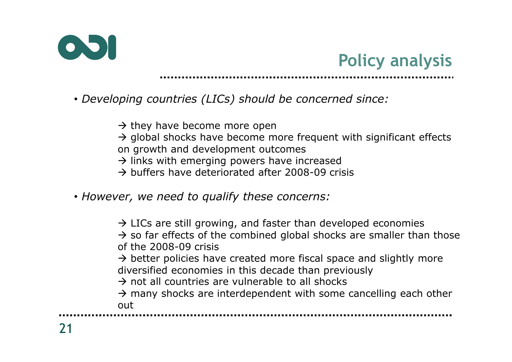



- *Developing countries (LICs) should be concerned since:*
	- $\rightarrow$  they have become more open<br> $\rightarrow$  global shocks have become m
	- $\rightarrow$  global shocks have become more frequent with significant effects on arowth and development outcomes on growth and development outcomes
	- → links with emerging powers have increased<br>→ buffers have deteriorated after 2008-09 cri
	- $\rightarrow$  buffers have deteriorated after 2008-09 crisis
- *However, we need to qualify these concerns:*

 $\rightarrow$  LICs are still growing, and faster than developed economies<br> $\rightarrow$  so far effects of the combined global shocks are smaller tha  $\rightarrow$  so far effects of the combined global shocks are smaller than those of the 2008-09 crisis of the 2008-09 crisis $\rightarrow$  better policies have created more fiscal space and slightly more diversified economies in this decade than previously diversified economies in this decade than previously $\rightarrow$  not all countries are vulnerable to all shocks<br> $\rightarrow$  many shocks are interdependent with some  $\rightarrow$  many shocks are interdependent with some cancelling each other  $\sim$ out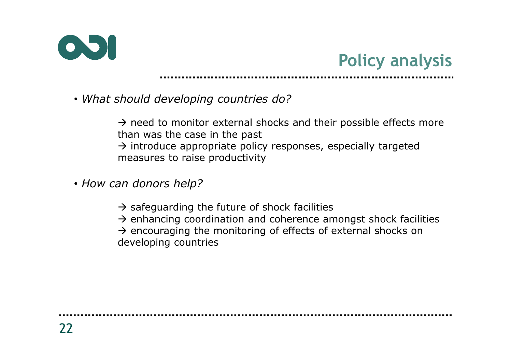

# **Policy analysis**

• *What should developing countries do?*

 $\rightarrow$  need to monitor external shocks and their possible effects more than was the case in the nast than was the case in the past $\rightarrow$  introduce appropriate policy responses, especially targeted measures to raise productivity measures to raise productivity

- *How can donors help?*
	- $\rightarrow$  safeguarding the future of shock facilities<br> $\rightarrow$  enhancing coordination and coherence are  $\rightarrow$  enhancing coordination and coherence amongst shock facilities<br> $\rightarrow$  encouraging the monitoring of effects of external shocks on  $\rightarrow$  encouraging the monitoring of effects of external shocks on developing countries developing countries